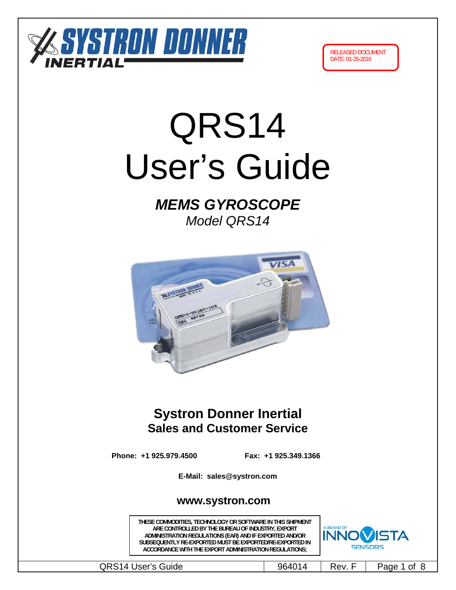



# QRS14 User's Guide

# *MEMS GYROSCOPE Model QRS14*



# **Systron Donner Inertial Sales and Customer Service**

**Phone: +1 925.979.4500 Fax: +1 925.349.1366**

**E-Mail: sales@systron.com** 

# **www.systron.com**

**THESE COMMODITIES, TECHNOLOGY OR SOFTWARE IN THIS SHIPMENT ARE CONTROLLED BY THE BUREAU OF INDUSTRY, EXPORT ADMINISTRATION REGULATIONS (EAR) AND IF EXPORTED AND/OR SUBSEQUENTLY RE-EXPORTED MUST BE EXPORTED/RE-EXPORTED IN ACCORDANCE WITH THE EXPORT ADMINISTRATION REGULATIONS;**



QRS14 User's Guide  $\vert$  964014 Rev. F Page 1 of 8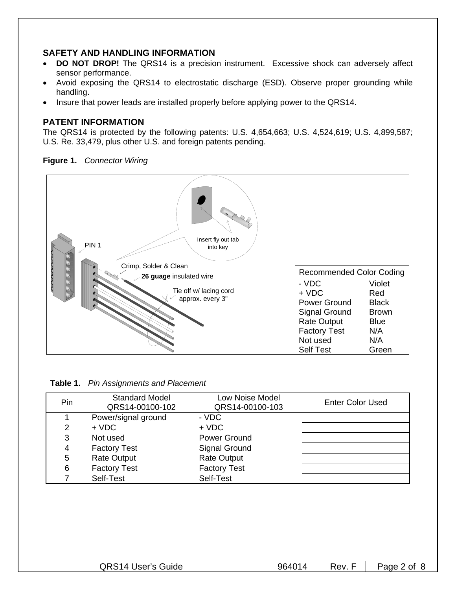## **SAFETY AND HANDLING INFORMATION**

- **DO NOT DROP!** The QRS14 is a precision instrument. Excessive shock can adversely affect sensor performance.
- Avoid exposing the QRS14 to electrostatic discharge (ESD). Observe proper grounding while handling.
- Insure that power leads are installed properly before applying power to the QRS14.

## **PATENT INFORMATION**

The QRS14 is protected by the following patents: U.S. 4,654,663; U.S. 4,524,619; U.S. 4,899,587; U.S. Re. 33,479, plus other U.S. and foreign patents pending.

**Figure 1.** *Connector Wiring*



**Table 1.** *Pin Assignments and Placement*

| Pin | <b>Standard Model</b><br>QRS14-00100-102 | Low Noise Model<br>QRS14-00100-103 | <b>Enter Color Used</b> |
|-----|------------------------------------------|------------------------------------|-------------------------|
|     | Power/signal ground                      | - VDC                              |                         |
| 2   | $+ VDC$                                  | $+$ VDC                            |                         |
| 3   | Not used                                 | Power Ground                       |                         |
| 4   | <b>Factory Test</b>                      | Signal Ground                      |                         |
| 5   | <b>Rate Output</b>                       | <b>Rate Output</b>                 |                         |
| 6   | <b>Factory Test</b>                      | <b>Factory Test</b>                |                         |
|     | Self-Test                                | Self-Test                          |                         |

| <b>QRS14 User's Guide</b><br>964014<br>Page 2 of<br>Rev. |
|----------------------------------------------------------|
|----------------------------------------------------------|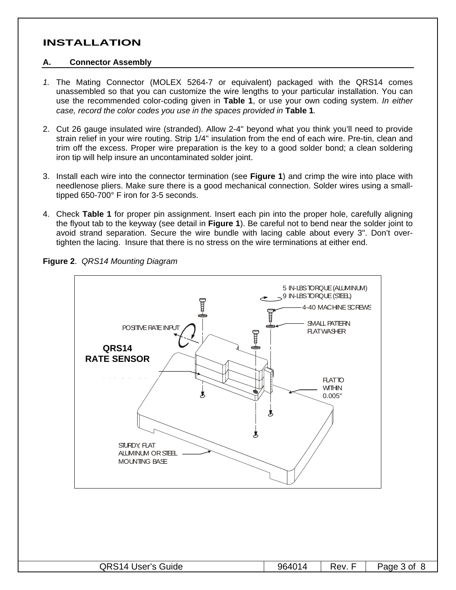# **INSTALLATION**

#### **A. Connector Assembly**

- *1.* The Mating Connector (MOLEX 5264-7 or equivalent) packaged with the QRS14 comes unassembled so that you can customize the wire lengths to your particular installation. You can use the recommended color-coding given in **Table 1**, or use your own coding system. *In either case, record the color codes you use in the spaces provided in* **Table 1***.*
- 2. Cut 26 gauge insulated wire (stranded). Allow 2-4" beyond what you think you'll need to provide strain relief in your wire routing. Strip 1/4" insulation from the end of each wire. Pre-tin, clean and trim off the excess. Proper wire preparation is the key to a good solder bond; a clean soldering iron tip will help insure an uncontaminated solder joint.
- 3. Install each wire into the connector termination (see **Figure 1**) and crimp the wire into place with needlenose pliers. Make sure there is a good mechanical connection. Solder wires using a smalltipped 650-700° F iron for 3-5 seconds.
- 4. Check **Table 1** for proper pin assignment. Insert each pin into the proper hole, carefully aligning the flyout tab to the keyway (see detail in **Figure 1**). Be careful not to bend near the solder joint to avoid strand separation. Secure the wire bundle with lacing cable about every 3". Don't overtighten the lacing. Insure that there is no stress on the wire terminations at either end.



**Figure 2**. *QRS14 Mounting Diagram*

| <b>QRS14 User's Guide</b> | 964014 | Rev. | Page 3 of |
|---------------------------|--------|------|-----------|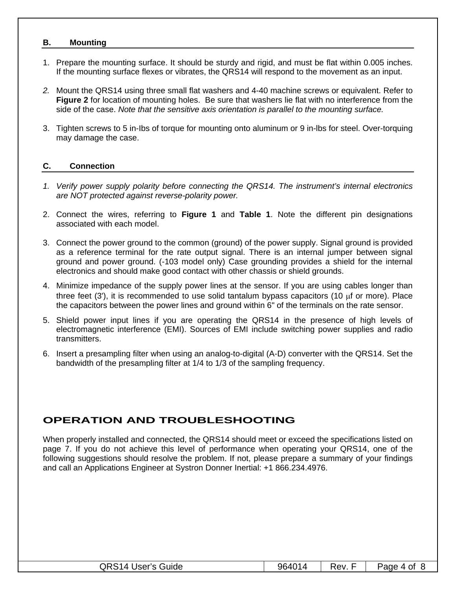#### **B. Mounting**

- 1. Prepare the mounting surface. It should be sturdy and rigid, and must be flat within 0.005 inches. If the mounting surface flexes or vibrates, the QRS14 will respond to the movement as an input.
- *2.* Mount the QRS14 using three small flat washers and 4-40 machine screws or equivalent. Refer to **Figure 2** for location of mounting holes. Be sure that washers lie flat with no interference from the side of the case. *Note that the sensitive axis orientation is parallel to the mounting surface.*
- 3. Tighten screws to 5 in-Ibs of torque for mounting onto aluminum or 9 in-lbs for steel. Over-torquing may damage the case.

#### **C. Connection**

- *1. Verify power supply polarity before connecting the QRS14. The instrument's internal electronics are NOT protected against reverse-polarity power.*
- 2. Connect the wires, referring to **Figure 1** and **Table 1**. Note the different pin designations associated with each model.
- 3. Connect the power ground to the common (ground) of the power supply. Signal ground is provided as a reference terminal for the rate output signal. There is an internal jumper between signal ground and power ground. (-103 model only) Case grounding provides a shield for the internal electronics and should make good contact with other chassis or shield grounds.
- 4. Minimize impedance of the supply power lines at the sensor. If you are using cables longer than three feet (3'), it is recommended to use solid tantalum bypass capacitors (10  $\mu$ f or more). Place the capacitors between the power lines and ground within 6" of the terminals on the rate sensor.
- 5. Shield power input lines if you are operating the QRS14 in the presence of high levels of electromagnetic interference (EMI). Sources of EMI include switching power supplies and radio transmitters.
- 6. Insert a presampling filter when using an analog-to-digital (A-D) converter with the QRS14. Set the bandwidth of the presampling filter at 1/4 to 1/3 of the sampling frequency.

# **OPERATION AND TROUBLESHOOTING**

When properly installed and connected, the QRS14 should meet or exceed the specifications listed on page 7. If you do not achieve this level of performance when operating your QRS14, one of the following suggestions should resolve the problem. If not, please prepare a summary of your findings and call an Applications Engineer at Systron Donner Inertial: +1 866.234.4976.

| <b>QRS14 User's Guide</b><br>964014<br>Page 4 of<br>Rev. |
|----------------------------------------------------------|
|----------------------------------------------------------|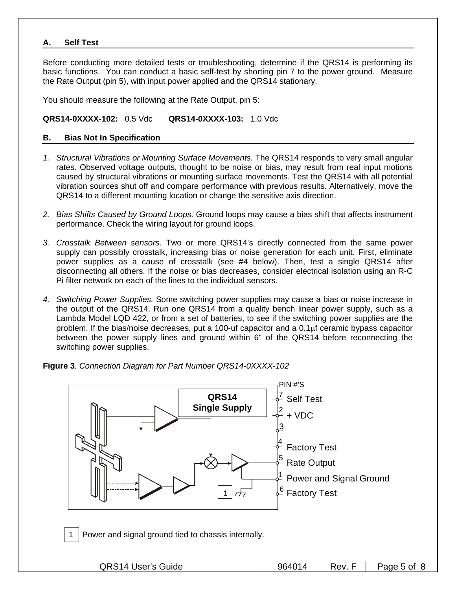#### **A. Self Test**

Before conducting more detailed tests or troubleshooting, determine if the QRS14 is performing its basic functions. You can conduct a basic self-test by shorting pin 7 to the power ground. Measure the Rate Output (pin 5), with input power applied and the QRS14 stationary.

You should measure the following at the Rate Output, pin 5:

#### **QRS14-0XXXX-102:** 0.5 Vdc **QRS14-0XXXX-103:** 1.0 Vdc

#### **B. Bias Not In Specification**

- *1. Structural Vibrations or Mounting Surface Movements.* The QRS14 responds to very small angular rates. Observed voltage outputs, thought to be noise or bias, may result from real input motions caused by structural vibrations or mounting surface movements. Test the QRS14 with all potential vibration sources shut off and compare performance with previous results. Alternatively, move the QRS14 to a different mounting location or change the sensitive axis direction.
- *2. Bias Shifts Caused by Ground Loops.* Ground loops may cause a bias shift that affects instrument performance. Check the wiring layout for ground loops.
- *3. Crosstalk Between sensors.* Two or more QRS14's directly connected from the same power supply can possibly crosstalk, increasing bias or noise generation for each unit. First, eliminate power supplies as a cause of crosstalk (see #4 below). Then, test a single QRS14 after disconnecting all others. If the noise or bias decreases, consider electrical isolation using an R-C Pi filter network on each of the lines to the individual sensors.
- *4. Switching Power Supplies.* Some switching power supplies may cause a bias or noise increase in the output of the QRS14. Run one QRS14 from a quality bench linear power supply, such as a Lambda Model LQD 422, or from a set of batteries, to see if the switching power supplies are the problem. If the bias/noise decreases, put a 100-uf capacitor and a  $0.1<sub>\mu</sub>$  ceramic bypass capacitor between the power supply lines and ground within 6" of the QRS14 before reconnecting the switching power supplies.

**Figure 3***. Connection Diagram for Part Number QRS14-0XXXX-102* 



Power and signal ground tied to chassis internally.

| <b>QRS14 User's Guide</b> | Page 5 of |
|---------------------------|-----------|
| 964014                    | Rev.      |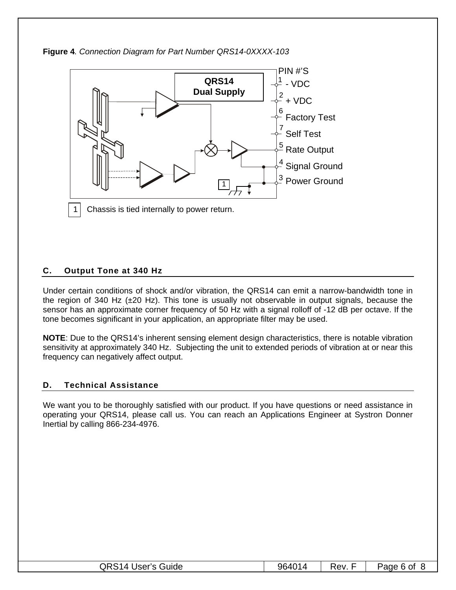



## **C. Output Tone at 340 Hz**

Under certain conditions of shock and/or vibration, the QRS14 can emit a narrow-bandwidth tone in the region of 340 Hz  $(\pm 20 \text{ Hz})$ . This tone is usually not observable in output signals, because the sensor has an approximate corner frequency of 50 Hz with a signal rolloff of -12 dB per octave. If the tone becomes significant in your application, an appropriate filter may be used.

**NOTE**: Due to the QRS14's inherent sensing element design characteristics, there is notable vibration sensitivity at approximately 340 Hz. Subjecting the unit to extended periods of vibration at or near this frequency can negatively affect output.

## **D. Technical Assistance**

We want you to be thoroughly satisfied with our product. If you have questions or need assistance in operating your QRS14, please call us. You can reach an Applications Engineer at Systron Donner Inertial by calling 866-234-4976.

| QRS1<br>14 User's Guide | 96401 | Rev | Page 6 of |
|-------------------------|-------|-----|-----------|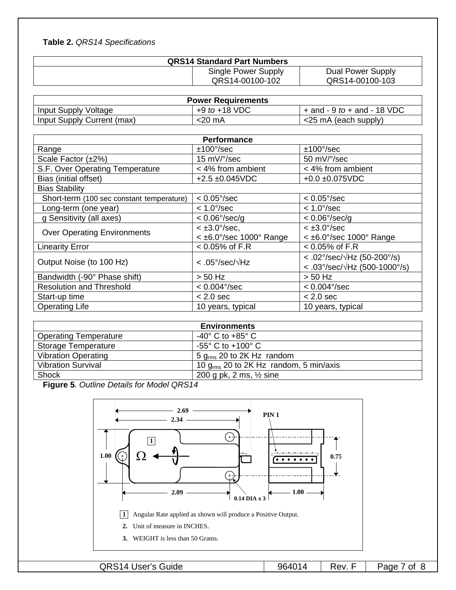# **Table 2.** *QRS14 Specifications*

| <b>QRS14 Standard Part Numbers</b> |                   |  |  |  |  |
|------------------------------------|-------------------|--|--|--|--|
| Single Power Supply                | Dual Power Supply |  |  |  |  |
| QRS14-00100-102                    | QRS14-00100-103   |  |  |  |  |

| <b>Power Requirements</b>  |                   |                                     |  |  |  |
|----------------------------|-------------------|-------------------------------------|--|--|--|
| Input Supply Voltage       | $+9$ to $+18$ VDC | $+$ and $-$ 9 to $+$ and $-$ 18 VDC |  |  |  |
| Input Supply Current (max) | $<$ 20 mA         | $\le$ 25 mA (each supply)           |  |  |  |

| Performance                               |                              |                                             |  |  |
|-------------------------------------------|------------------------------|---------------------------------------------|--|--|
| Range                                     | $±100^{\circ}/sec$           | $±100^{\circ}/sec$                          |  |  |
| Scale Factor (±2%)                        | 15 mV/°/sec                  | 50 mV/°/sec                                 |  |  |
| S.F. Over Operating Temperature           | < 4% from ambient            | < 4% from ambient                           |  |  |
| Bias (initial offset)                     | $+2.5 + 0.045$ VDC           | $+0.0 + 0.075$ VDC                          |  |  |
| <b>Bias Stability</b>                     |                              |                                             |  |  |
| Short-term (100 sec constant temperature) | $< 0.05^{\circ}/sec$         | $< 0.05^{\circ}/sec$                        |  |  |
| Long-term (one year)                      | $< 1.0^{\circ}/sec$          | $< 1.0^{\circ}/sec$                         |  |  |
| g Sensitivity (all axes)                  | $< 0.06^{\circ}/sec/q$       | $< 0.06^{\circ}/sec/q$                      |  |  |
| <b>Over Operating Environments</b>        | $< \pm 3.0^{\circ}/sec$ ,    | $<$ $\pm$ 3.0 $\degree$ /sec                |  |  |
|                                           | $<$ ±6.0°/sec 1000° Range    | $<$ ±6.0°/sec 1000° Range                   |  |  |
| <b>Linearity Error</b>                    | $< 0.05\%$ of F.R            | $< 0.05\%$ of F.R                           |  |  |
| Output Noise (to 100 Hz)                  | $<.05^{\circ}/sec/\sqrt{Hz}$ | < .02°/sec/ $\sqrt{Hz}$ (50-200°/s)         |  |  |
|                                           |                              | $< .03^{\circ}/sec/\sqrt{Hz}$ (500-1000°/s) |  |  |
| Bandwidth (-90° Phase shift)              | $> 50$ Hz                    | $> 50$ Hz                                   |  |  |
| <b>Resolution and Threshold</b>           | $< 0.004^{\circ}/sec$        | $< 0.004^{\circ}/sec$                       |  |  |
| Start-up time                             | $< 2.0$ sec                  | $< 2.0$ sec                                 |  |  |
| <b>Operating Life</b>                     | 10 years, typical            | 10 years, typical                           |  |  |

| <b>Environments</b>          |                                             |  |  |
|------------------------------|---------------------------------------------|--|--|
| <b>Operating Temperature</b> | $-40^{\circ}$ C to $+85^{\circ}$ C          |  |  |
| <b>Storage Temperature</b>   | $-55^{\circ}$ C to $+100^{\circ}$ C         |  |  |
| <b>Vibration Operating</b>   | 5 $q_{\rm rms}$ 20 to 2K Hz random          |  |  |
| <b>Vibration Survival</b>    | 10 $g_{rms}$ 20 to 2K Hz random, 5 min/axis |  |  |
| Shock                        | 200 g pk, 2 ms, $\frac{1}{2}$ sine          |  |  |

**Figure 5***. Outline Details for Model QRS14* 



QRS14 User's Guide 1964014 Rev. F Page 7 of 8